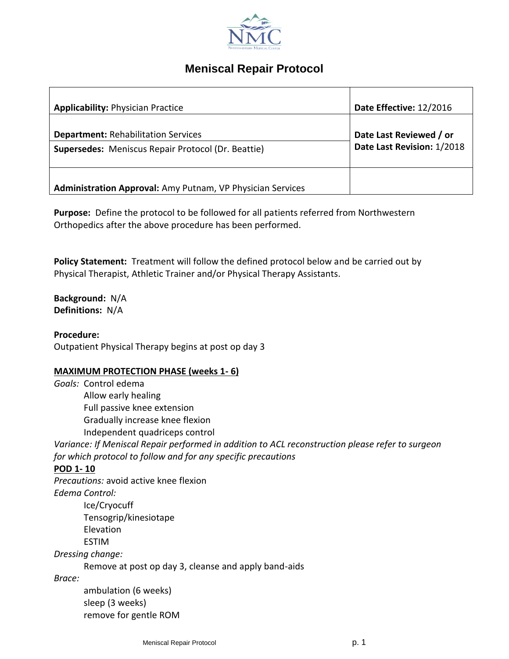

# **Meniscal Repair Protocol**

| <b>Applicability: Physician Practice</b>                                                                | Date Effective: 12/2016                               |
|---------------------------------------------------------------------------------------------------------|-------------------------------------------------------|
| <b>Department: Rehabilitation Services</b><br><b>Supersedes:</b> Meniscus Repair Protocol (Dr. Beattie) | Date Last Reviewed / or<br>Date Last Revision: 1/2018 |
| Administration Approval: Amy Putnam, VP Physician Services                                              |                                                       |

**Purpose:** Define the protocol to be followed for all patients referred from Northwestern Orthopedics after the above procedure has been performed.

**Policy Statement:** Treatment will follow the defined protocol below and be carried out by Physical Therapist, Athletic Trainer and/or Physical Therapy Assistants.

**Background:** N/A **Definitions:** N/A

**Procedure:**

Outpatient Physical Therapy begins at post op day 3

#### **MAXIMUM PROTECTION PHASE (weeks 1- 6)**

*Goals:* Control edema Allow early healing Full passive knee extension Gradually increase knee flexion Independent quadriceps control *Variance: If Meniscal Repair performed in addition to ACL reconstruction please refer to surgeon for which protocol to follow and for any specific precautions* **POD 1- 10** *Precautions:* avoid active knee flexion *Edema Control:* Ice/Cryocuff Tensogrip/kinesiotape Elevation ESTIM *Dressing change:* Remove at post op day 3, cleanse and apply band-aids *Brace:* ambulation (6 weeks) sleep (3 weeks) remove for gentle ROM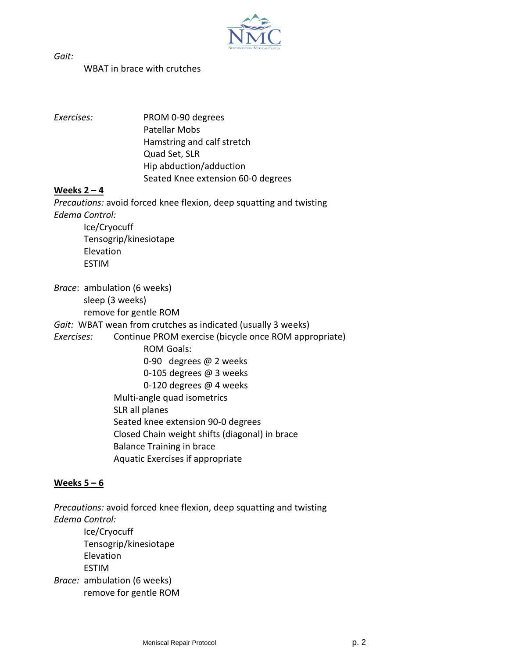

*Gait:*

## WBAT in brace with crutches

*Exercises:* PROM 0-90 degrees Patellar Mobs Hamstring and calf stretch Quad Set, SLR Hip abduction/adduction Seated Knee extension 60-0 degrees

### **Weeks 2 – 4**

*Precautions:* avoid forced knee flexion, deep squatting and twisting *Edema Control:* Ice/Cryocuff Tensogrip/kinesiotape

Elevation ESTIM

*Brace*: ambulation (6 weeks) sleep (3 weeks) remove for gentle ROM *Gait:* WBAT wean from crutches as indicated (usually 3 weeks) *Exercises:* Continue PROM exercise (bicycle once ROM appropriate) ROM Goals: 0-90 degrees @ 2 weeks 0-105 degrees @ 3 weeks 0-120 degrees @ 4 weeks Multi-angle quad isometrics SLR all planes Seated knee extension 90-0 degrees Closed Chain weight shifts (diagonal) in brace Balance Training in brace Aquatic Exercises if appropriate

### **Weeks 5 – 6**

*Precautions:* avoid forced knee flexion, deep squatting and twisting *Edema Control:* Ice/Cryocuff Tensogrip/kinesiotape Elevation ESTIM *Brace:* ambulation (6 weeks) remove for gentle ROM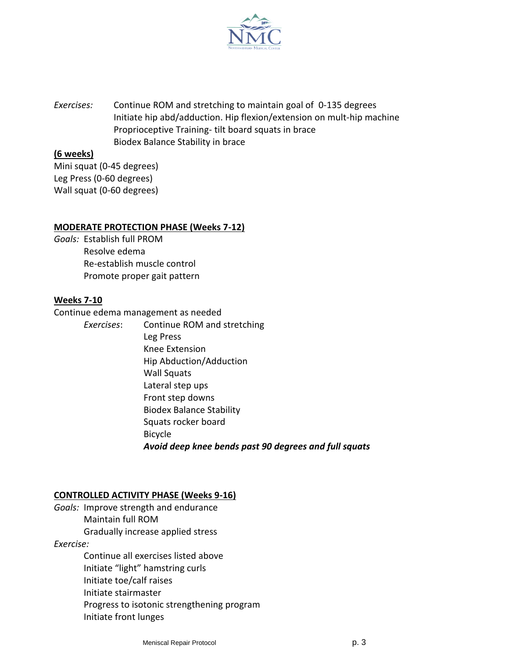

*Exercises:* Continue ROM and stretching to maintain goal of 0-135 degrees Initiate hip abd/adduction. Hip flexion/extension on mult-hip machine Proprioceptive Training- tilt board squats in brace Biodex Balance Stability in brace

#### **(6 weeks)**

Mini squat (0-45 degrees) Leg Press (0-60 degrees) Wall squat (0-60 degrees)

#### **MODERATE PROTECTION PHASE (Weeks 7-12)**

*Goals:* Establish full PROM Resolve edema Re-establish muscle control Promote proper gait pattern

#### **Weeks 7-10**

Continue edema management as needed

*Exercises*: Continue ROM and stretching Leg Press Knee Extension Hip Abduction/Adduction Wall Squats Lateral step ups Front step downs Biodex Balance Stability Squats rocker board Bicycle *Avoid deep knee bends past 90 degrees and full squats*

#### **CONTROLLED ACTIVITY PHASE (Weeks 9-16)**

*Goals:* Improve strength and endurance Maintain full ROM Gradually increase applied stress

*Exercise:*

Continue all exercises listed above Initiate "light" hamstring curls Initiate toe/calf raises Initiate stairmaster Progress to isotonic strengthening program Initiate front lunges